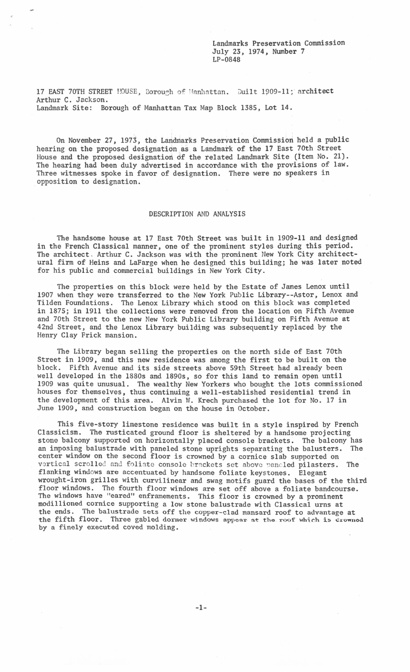Landmarks Preservation Commission July 23, 1974, Number 7 LP-0848

17 EAST 70TH STREET HOUSE, Borough of Manhattan. Built 1909-11; architect Arthur C. Jackson. Landmark Site: Borough of Manhattan Tax Map Block 1385, Lot 14.

<'

On November 27, 1973, the Landmarks Preservation Commission held a public hearing on the proposed designation as a Landmark of the 17 East 70th Street House and the proposed designation of the related Landmark Site (Item No. 21). The hearing had been duly advertised in accordance with the provisions of law. Three witnesses spoke in favor of designation. There were no speakers in opposition to designation.

## DESCRIPTION AND ANALYSIS

The handsome house at 17 East 70th Street was built in 1909-11 and designed in the French Classical manner, one of the prominent styles during this period. The architect, Arthur C. Jackson was with the prominent New York City architectural firm of Heins and LaFarge when he designed this building; he was later noted for his public and commercial buildings in New York City.

The properties on this block were held by the Estate of James Lenox until 1907 when they were transferred to the New York Public Library--Astor, Lenox and Tilden Foundations. The Lenox Library which stood on this block was completed in 1875; in 1911 the collections were removed from the location on Fifth Avenue and 70th Street to the new New York Public Library building on Fifth Avenue at 42nd Street, and the Lenox Library building was subsequently replaced by the Henry Clay Frick mansion.

The Library began selling the properties on the north side of East 70th Street in 1909, and this new residence was among the first to be built on the block. Fifth Avenue and its side streets above 59th Street had already been well developed in the 1880s and 1890s, so for this land to remain open until 1909 was quite unusual. The wealthy New Yorkers who bought the lots commissioned houses for themselves, thus continuing a well-established residential trend in the development of this area. Alvin W. Krech purchased the lot for No. 17 in June 1909. and construction began on the house in October.

This five-story limestone residence was built in a style inspired by French Classicism. The rusticated ground floor is sheltered by a handsome projecting stone balcony supported on horizontally placed console brackets. The balcony has an imposing balustrade with paneled stone uprights separating the balusters. The center window on the second floor is crowned by a cornice slab supported on vertical scrolled and foliate console brackets set above paneled pilasters. The flanking windows are accentuated by handsome foliate keystones. Elegant wrought-iron grilles with curvilinear and swag motifs guard the bases of the third floor windows. The fourth floor windows are set off above a foliate bandcourse. The windows: The content from which is to be a prominent of the windows have "eared" enframements. This floor is crowned by a prominent modillioned cornice supporting a low stone balustrade with Classical urns at the ends. The balustrade sets off the copper-clad mansard roof to advantage at the fifth floor. Three gabled dormer windows appear at the roof which is crowned by a finely executed coved molding.